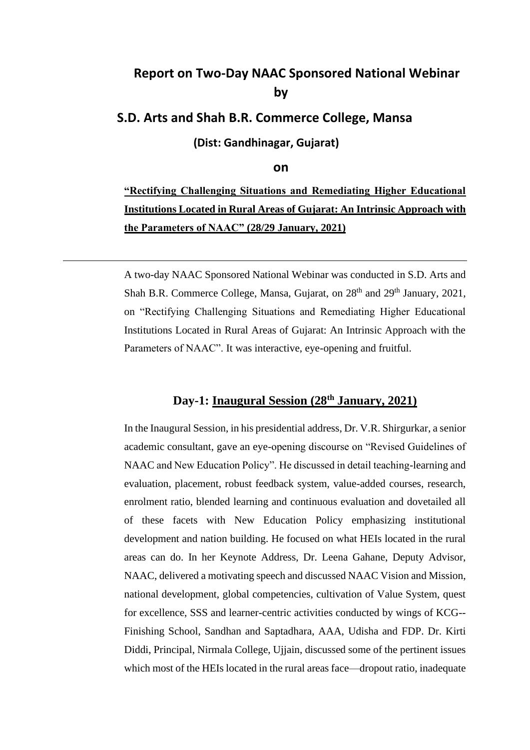# **Report on Two-Day NAAC Sponsored National Webinar by**

## **S.D. Arts and Shah B.R. Commerce College, Mansa**

**(Dist: Gandhinagar, Gujarat)** 

#### **on**

**"Rectifying Challenging Situations and Remediating Higher Educational Institutions Located in Rural Areas of Gujarat: An Intrinsic Approach with the Parameters of NAAC" (28/29 January, 2021)**

A two-day NAAC Sponsored National Webinar was conducted in S.D. Arts and Shah B.R. Commerce College, Mansa, Gujarat, on  $28<sup>th</sup>$  and  $29<sup>th</sup>$  January, 2021, on "Rectifying Challenging Situations and Remediating Higher Educational Institutions Located in Rural Areas of Gujarat: An Intrinsic Approach with the Parameters of NAAC". It was interactive, eye-opening and fruitful.

## **Day-1: Inaugural Session (28th January, 2021)**

In the Inaugural Session, in his presidential address, Dr. V.R. Shirgurkar, a senior academic consultant, gave an eye-opening discourse on "Revised Guidelines of NAAC and New Education Policy". He discussed in detail teaching-learning and evaluation, placement, robust feedback system, value-added courses, research, enrolment ratio, blended learning and continuous evaluation and dovetailed all of these facets with New Education Policy emphasizing institutional development and nation building. He focused on what HEIs located in the rural areas can do. In her Keynote Address, Dr. Leena Gahane, Deputy Advisor, NAAC, delivered a motivating speech and discussed NAAC Vision and Mission, national development, global competencies, cultivation of Value System, quest for excellence, SSS and learner-centric activities conducted by wings of KCG-- Finishing School, Sandhan and Saptadhara, AAA, Udisha and FDP. Dr. Kirti Diddi, Principal, Nirmala College, Ujjain, discussed some of the pertinent issues which most of the HEIs located in the rural areas face—dropout ratio, inadequate